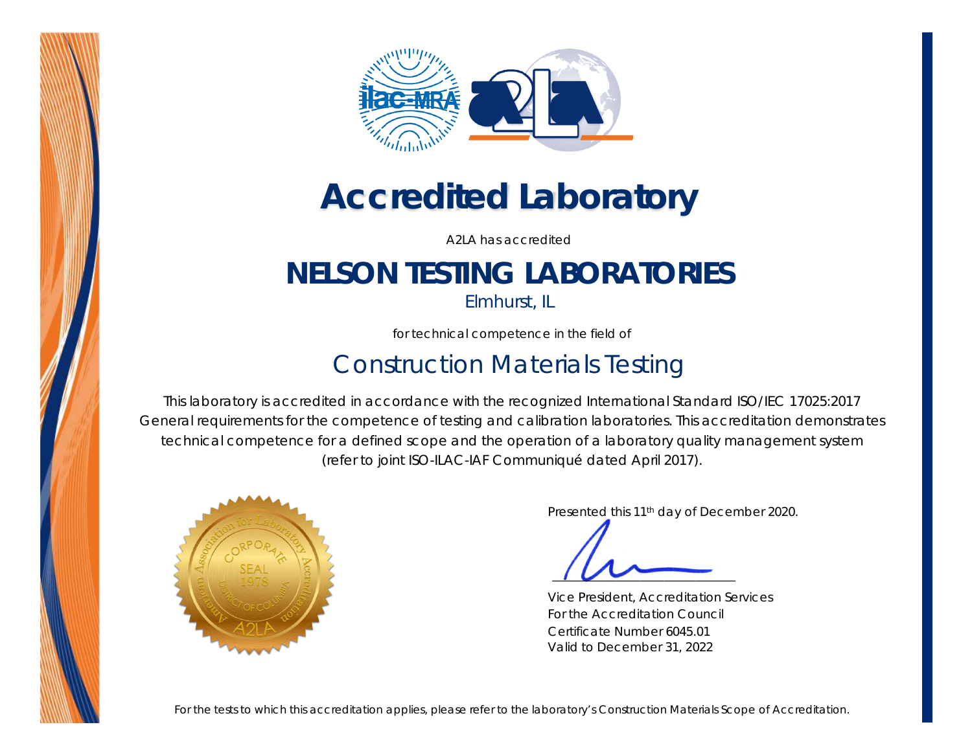



# *Accredited Laboratory*

A2LA has accredited

## **NELSON TESTING LABORATORIES**

*Elmhurst, IL*

for technical competence in the field of

### Construction Materials Testing

This laboratory is accredited in accordance with the recognized International Standard ISO/IEC 17025:2017 *General requirements for the competence of testing and calibration laboratories*. This accreditation demonstrates technical competence for a defined scope and the operation of a laboratory quality management system (*refer to joint ISO-ILAC-IAF Communiqué dated April 2017*).



Presented this 11<sup>th</sup> day of December 2020.

Vice President, Accreditation Services For the Accreditation Council Certificate Number 6045.01 Valid to December 31, 2022

*For the tests to which this accreditation applies, please refer to the laboratory's Construction Materials Scope of Accreditation.*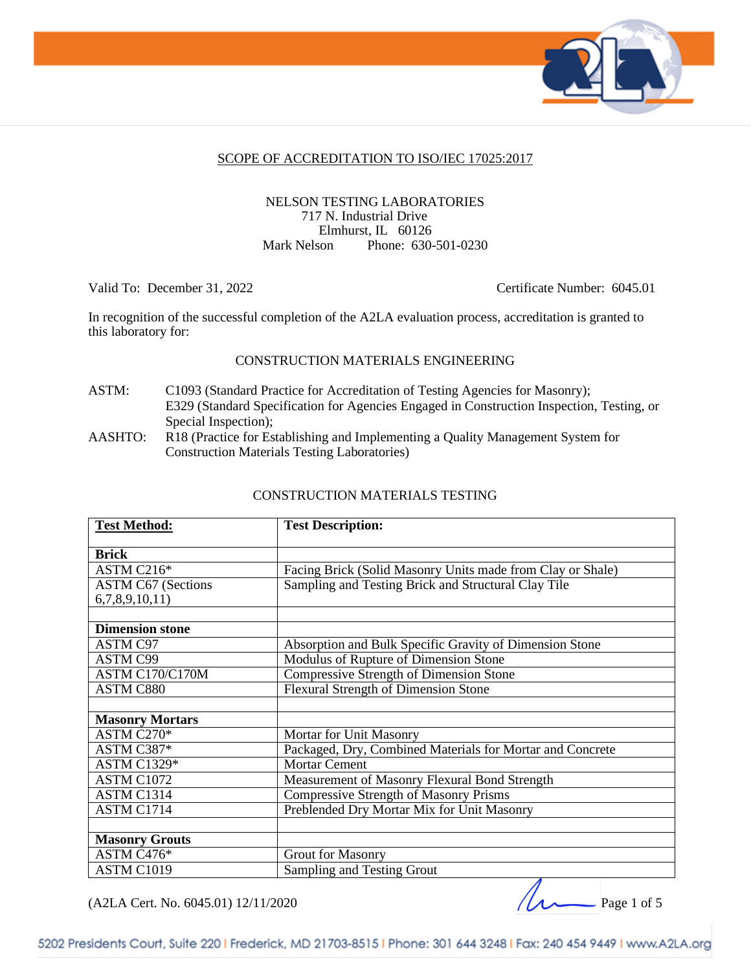

#### SCOPE OF ACCREDITATION TO ISO/IEC 17025:2017

#### NELSON TESTING LABORATORIES 717 N. Industrial Drive Elmhurst, IL 60126 Mark Nelson Phone: 630-501-0230

Valid To: December 31, 2022 Certificate Number: 6045.01

In recognition of the successful completion of the A2LA evaluation process, accreditation is granted to this laboratory for:

#### CONSTRUCTION MATERIALS ENGINEERING

ASTM: C1093 (Standard Practice for Accreditation of Testing Agencies for Masonry); E329 (Standard Specification for Agencies Engaged in Construction Inspection, Testing, or Special Inspection);

AASHTO: R18 (Practice for Establishing and Implementing a Quality Management System for Construction Materials Testing Laboratories)

| <b>Test Method:</b>       | <b>Test Description:</b>                                   |
|---------------------------|------------------------------------------------------------|
| <b>Brick</b>              |                                                            |
| ASTM C216*                | Facing Brick (Solid Masonry Units made from Clay or Shale) |
| <b>ASTM C67 (Sections</b> | Sampling and Testing Brick and Structural Clay Tile        |
| 6,7,8,9,10,11)            |                                                            |
|                           |                                                            |
| <b>Dimension stone</b>    |                                                            |
| <b>ASTM C97</b>           | Absorption and Bulk Specific Gravity of Dimension Stone    |
| <b>ASTM C99</b>           | Modulus of Rupture of Dimension Stone                      |
| ASTM C170/C170M           | <b>Compressive Strength of Dimension Stone</b>             |
| <b>ASTM C880</b>          | <b>Flexural Strength of Dimension Stone</b>                |
|                           |                                                            |
| <b>Masonry Mortars</b>    |                                                            |
| ASTM C270*                | Mortar for Unit Masonry                                    |
| ASTM C387*                | Packaged, Dry, Combined Materials for Mortar and Concrete  |
| <b>ASTM C1329*</b>        | <b>Mortar Cement</b>                                       |
| ASTM C1072                | Measurement of Masonry Flexural Bond Strength              |
| ASTM C1314                | <b>Compressive Strength of Masonry Prisms</b>              |
| ASTM C1714                | Preblended Dry Mortar Mix for Unit Masonry                 |
|                           |                                                            |
| <b>Masonry Grouts</b>     |                                                            |
| ASTM C476*                | <b>Grout for Masonry</b>                                   |
| ASTM C1019                | Sampling and Testing Grout                                 |

#### CONSTRUCTION MATERIALS TESTING

(A2LA Cert. No. 6045.01) 12/11/2020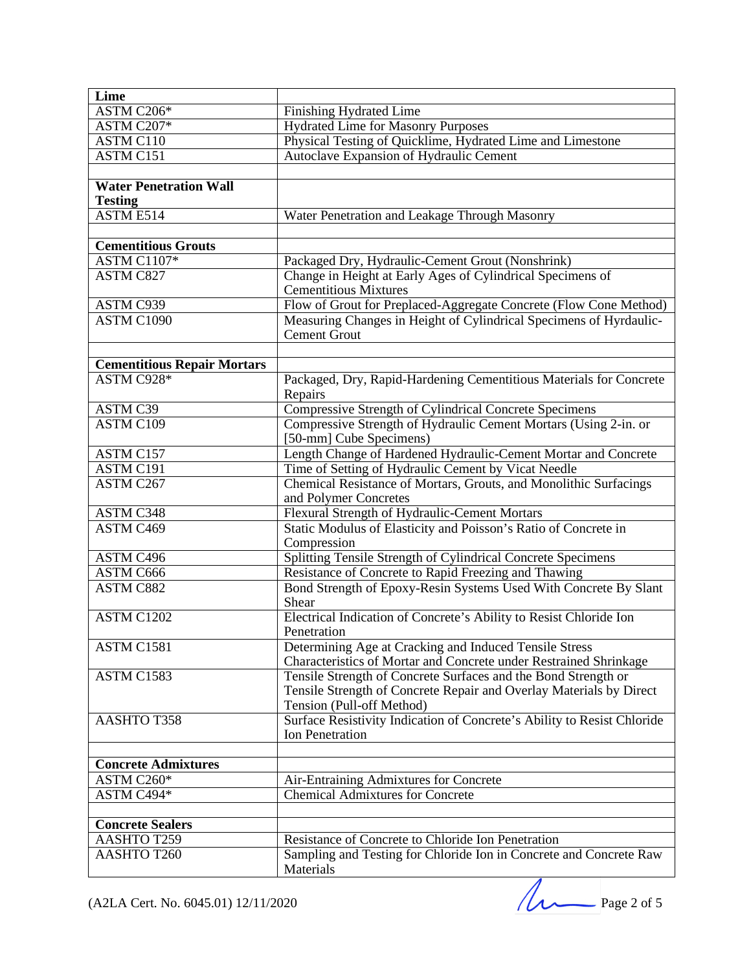| Lime                               |                                                                         |
|------------------------------------|-------------------------------------------------------------------------|
| ASTM C206*                         | Finishing Hydrated Lime                                                 |
| ASTM C207*                         | <b>Hydrated Lime for Masonry Purposes</b>                               |
| <b>ASTM C110</b>                   | Physical Testing of Quicklime, Hydrated Lime and Limestone              |
| ASTM C151                          | Autoclave Expansion of Hydraulic Cement                                 |
|                                    |                                                                         |
| <b>Water Penetration Wall</b>      |                                                                         |
| <b>Testing</b>                     |                                                                         |
| ASTM E514                          | Water Penetration and Leakage Through Masonry                           |
|                                    |                                                                         |
| <b>Cementitious Grouts</b>         |                                                                         |
| ASTM C1107*                        | Packaged Dry, Hydraulic-Cement Grout (Nonshrink)                        |
| <b>ASTM C827</b>                   | Change in Height at Early Ages of Cylindrical Specimens of              |
|                                    | <b>Cementitious Mixtures</b>                                            |
| ASTM C939                          | Flow of Grout for Preplaced-Aggregate Concrete (Flow Cone Method)       |
| ASTM C1090                         | Measuring Changes in Height of Cylindrical Specimens of Hyrdaulic-      |
|                                    | <b>Cement Grout</b>                                                     |
|                                    |                                                                         |
| <b>Cementitious Repair Mortars</b> |                                                                         |
| ASTM C928*                         | Packaged, Dry, Rapid-Hardening Cementitious Materials for Concrete      |
|                                    | Repairs                                                                 |
| ASTM C39                           | Compressive Strength of Cylindrical Concrete Specimens                  |
| <b>ASTM C109</b>                   | Compressive Strength of Hydraulic Cement Mortars (Using 2-in. or        |
|                                    | [50-mm] Cube Specimens)                                                 |
| ASTM C157                          | Length Change of Hardened Hydraulic-Cement Mortar and Concrete          |
| ASTM C191                          | Time of Setting of Hydraulic Cement by Vicat Needle                     |
| ASTM C267                          | Chemical Resistance of Mortars, Grouts, and Monolithic Surfacings       |
|                                    | and Polymer Concretes                                                   |
| ASTM C348                          | Flexural Strength of Hydraulic-Cement Mortars                           |
| ASTM C469                          | Static Modulus of Elasticity and Poisson's Ratio of Concrete in         |
|                                    | Compression                                                             |
| ASTM C496                          | Splitting Tensile Strength of Cylindrical Concrete Specimens            |
| ASTM C666                          | Resistance of Concrete to Rapid Freezing and Thawing                    |
| <b>ASTM C882</b>                   | Bond Strength of Epoxy-Resin Systems Used With Concrete By Slant        |
|                                    | Shear                                                                   |
| ASTM C1202                         | Electrical Indication of Concrete's Ability to Resist Chloride Ion      |
|                                    | Penetration                                                             |
| ASTM C1581                         | Determining Age at Cracking and Induced Tensile Stress                  |
|                                    | Characteristics of Mortar and Concrete under Restrained Shrinkage       |
| ASTM C1583                         | Tensile Strength of Concrete Surfaces and the Bond Strength or          |
|                                    | Tensile Strength of Concrete Repair and Overlay Materials by Direct     |
|                                    | Tension (Pull-off Method)                                               |
| AASHTO T358                        | Surface Resistivity Indication of Concrete's Ability to Resist Chloride |
|                                    | <b>Ion Penetration</b>                                                  |
|                                    |                                                                         |
| <b>Concrete Admixtures</b>         |                                                                         |
| ASTM C260*                         | Air-Entraining Admixtures for Concrete                                  |
| ASTM C494*                         | <b>Chemical Admixtures for Concrete</b>                                 |
|                                    |                                                                         |
| <b>Concrete Sealers</b>            |                                                                         |
| <b>AASHTO T259</b>                 | Resistance of Concrete to Chloride Ion Penetration                      |
| AASHTO T260                        | Sampling and Testing for Chloride Ion in Concrete and Concrete Raw      |
|                                    | Materials                                                               |

(A2LA Cert. No. 6045.01) 12/11/2020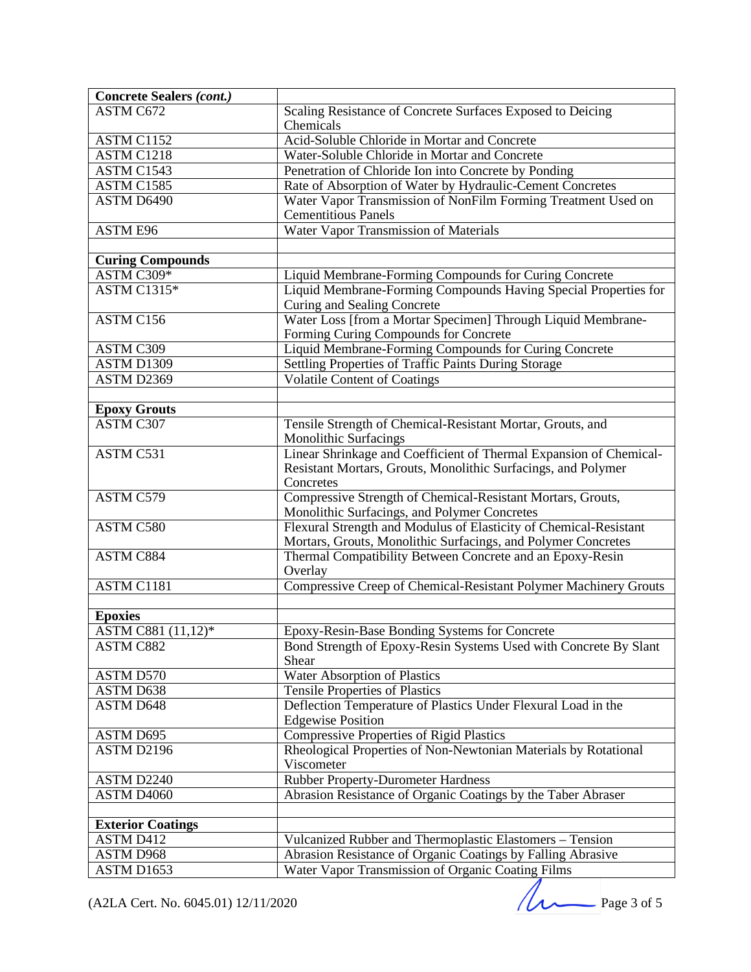| <b>Concrete Sealers (cont.)</b> |                                                                                                             |
|---------------------------------|-------------------------------------------------------------------------------------------------------------|
| ASTM C672                       | Scaling Resistance of Concrete Surfaces Exposed to Deicing                                                  |
|                                 | Chemicals<br>Acid-Soluble Chloride in Mortar and Concrete                                                   |
| ASTM C1152                      |                                                                                                             |
| ASTM C1218<br>ASTM C1543        | Water-Soluble Chloride in Mortar and Concrete                                                               |
|                                 | Penetration of Chloride Ion into Concrete by Ponding                                                        |
| ASTM C1585                      | Rate of Absorption of Water by Hydraulic-Cement Concretes                                                   |
| ASTM D6490                      | Water Vapor Transmission of NonFilm Forming Treatment Used on<br><b>Cementitious Panels</b>                 |
| ASTM E96                        | <b>Water Vapor Transmission of Materials</b>                                                                |
| <b>Curing Compounds</b>         |                                                                                                             |
| ASTM C309*                      | Liquid Membrane-Forming Compounds for Curing Concrete                                                       |
| <b>ASTM C1315*</b>              | Liquid Membrane-Forming Compounds Having Special Properties for                                             |
|                                 | Curing and Sealing Concrete                                                                                 |
| ASTM C156                       | Water Loss [from a Mortar Specimen] Through Liquid Membrane-                                                |
|                                 | Forming Curing Compounds for Concrete                                                                       |
| ASTM C309                       | Liquid Membrane-Forming Compounds for Curing Concrete                                                       |
| ASTM D1309                      | Settling Properties of Traffic Paints During Storage                                                        |
| ASTM D2369                      | <b>Volatile Content of Coatings</b>                                                                         |
|                                 |                                                                                                             |
| <b>Epoxy Grouts</b>             |                                                                                                             |
| <b>ASTM C307</b>                | Tensile Strength of Chemical-Resistant Mortar, Grouts, and                                                  |
|                                 | <b>Monolithic Surfacings</b>                                                                                |
| ASTM C531                       | Linear Shrinkage and Coefficient of Thermal Expansion of Chemical-                                          |
|                                 | Resistant Mortars, Grouts, Monolithic Surfacings, and Polymer                                               |
|                                 | Concretes                                                                                                   |
| ASTM C579                       | Compressive Strength of Chemical-Resistant Mortars, Grouts,<br>Monolithic Surfacings, and Polymer Concretes |
| ASTM C580                       | Flexural Strength and Modulus of Elasticity of Chemical-Resistant                                           |
|                                 | Mortars, Grouts, Monolithic Surfacings, and Polymer Concretes                                               |
| ASTM C884                       | Thermal Compatibility Between Concrete and an Epoxy-Resin<br>Overlay                                        |
| ASTM C1181                      | Compressive Creep of Chemical-Resistant Polymer Machinery Grouts                                            |
|                                 |                                                                                                             |
| <b>Epoxies</b>                  |                                                                                                             |
| ASTM C881 (11,12)*              | Epoxy-Resin-Base Bonding Systems for Concrete                                                               |
| <b>ASTM C882</b>                | Bond Strength of Epoxy-Resin Systems Used with Concrete By Slant<br>Shear                                   |
| ASTM D570                       | Water Absorption of Plastics                                                                                |
| ASTM D638                       | <b>Tensile Properties of Plastics</b>                                                                       |
| <b>ASTM D648</b>                | Deflection Temperature of Plastics Under Flexural Load in the                                               |
|                                 | <b>Edgewise Position</b>                                                                                    |
| ASTM D695                       | <b>Compressive Properties of Rigid Plastics</b>                                                             |
| ASTM D2196                      | Rheological Properties of Non-Newtonian Materials by Rotational                                             |
|                                 | Viscometer                                                                                                  |
| ASTM D2240                      | Rubber Property-Durometer Hardness                                                                          |
| ASTM D4060                      | Abrasion Resistance of Organic Coatings by the Taber Abraser                                                |
|                                 |                                                                                                             |
| <b>Exterior Coatings</b>        |                                                                                                             |
| <b>ASTM D412</b>                | Vulcanized Rubber and Thermoplastic Elastomers - Tension                                                    |
| <b>ASTM D968</b>                | Abrasion Resistance of Organic Coatings by Falling Abrasive                                                 |
| ASTM D1653                      | Water Vapor Transmission of Organic Coating Films                                                           |

(A2LA Cert. No. 6045.01) 12/11/2020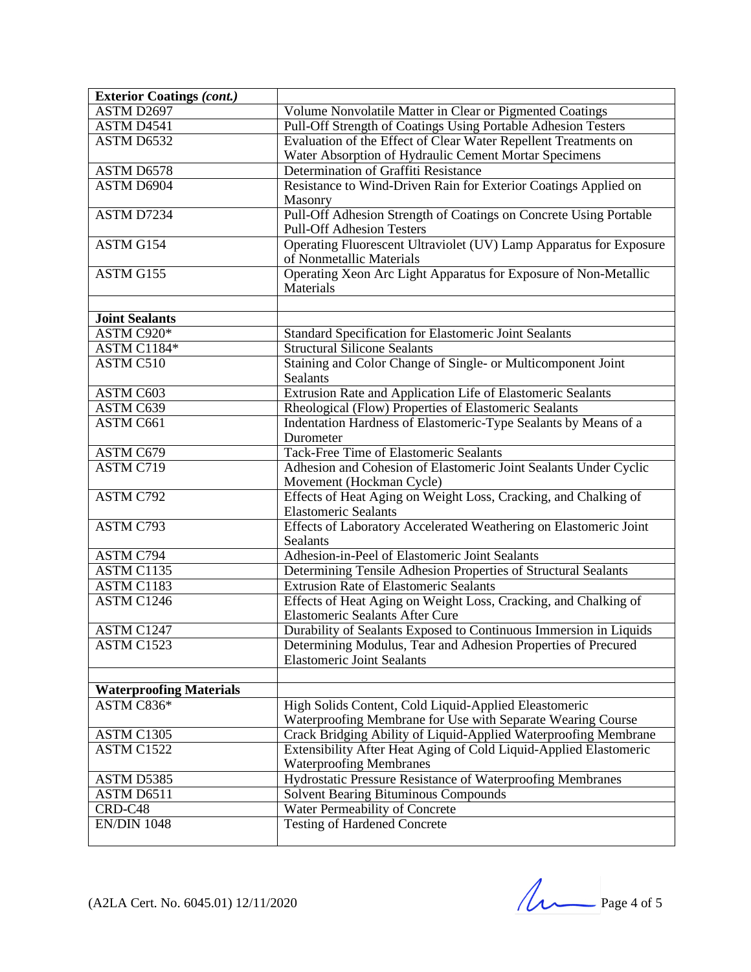| <b>Exterior Coatings (cont.)</b>             |                                                                                                                      |
|----------------------------------------------|----------------------------------------------------------------------------------------------------------------------|
| ASTM D2697                                   | Volume Nonvolatile Matter in Clear or Pigmented Coatings                                                             |
| ASTM D4541                                   | Pull-Off Strength of Coatings Using Portable Adhesion Testers                                                        |
| ASTM D6532                                   | Evaluation of the Effect of Clear Water Repellent Treatments on                                                      |
|                                              | Water Absorption of Hydraulic Cement Mortar Specimens                                                                |
| ASTM D6578                                   | Determination of Graffiti Resistance                                                                                 |
| ASTM D6904                                   | Resistance to Wind-Driven Rain for Exterior Coatings Applied on                                                      |
|                                              | Masonry                                                                                                              |
| ASTM D7234                                   | Pull-Off Adhesion Strength of Coatings on Concrete Using Portable                                                    |
|                                              | <b>Pull-Off Adhesion Testers</b>                                                                                     |
| ASTM G154                                    | Operating Fluorescent Ultraviolet (UV) Lamp Apparatus for Exposure                                                   |
|                                              | of Nonmetallic Materials                                                                                             |
| ASTM G155                                    | Operating Xeon Arc Light Apparatus for Exposure of Non-Metallic                                                      |
|                                              | Materials                                                                                                            |
|                                              |                                                                                                                      |
| <b>Joint Sealants</b>                        |                                                                                                                      |
| ASTM C920*                                   | Standard Specification for Elastomeric Joint Sealants                                                                |
| ASTM C1184*                                  | <b>Structural Silicone Sealants</b>                                                                                  |
| ASTM C510                                    | Staining and Color Change of Single- or Multicomponent Joint<br>Sealants                                             |
| ASTM C603                                    | Extrusion Rate and Application Life of Elastomeric Sealants                                                          |
| ASTM C639                                    | Rheological (Flow) Properties of Elastomeric Sealants                                                                |
| ASTM C661                                    | Indentation Hardness of Elastomeric-Type Sealants by Means of a                                                      |
|                                              | Durometer                                                                                                            |
| ASTM C679                                    | Tack-Free Time of Elastomeric Sealants                                                                               |
| ASTM C719                                    | Adhesion and Cohesion of Elastomeric Joint Sealants Under Cyclic                                                     |
|                                              | Movement (Hockman Cycle)                                                                                             |
| ASTM C792                                    | Effects of Heat Aging on Weight Loss, Cracking, and Chalking of                                                      |
|                                              | <b>Elastomeric Sealants</b>                                                                                          |
| ASTM C793                                    | Effects of Laboratory Accelerated Weathering on Elastomeric Joint                                                    |
|                                              | Sealants                                                                                                             |
| ASTM C794                                    | Adhesion-in-Peel of Elastomeric Joint Sealants                                                                       |
| ASTM C1135                                   | Determining Tensile Adhesion Properties of Structural Sealants                                                       |
| ASTM C1183                                   | <b>Extrusion Rate of Elastomeric Sealants</b>                                                                        |
| ASTM C1246                                   | Effects of Heat Aging on Weight Loss, Cracking, and Chalking of                                                      |
|                                              | <b>Elastomeric Sealants After Cure</b>                                                                               |
| ASTM C1247                                   | Durability of Sealants Exposed to Continuous Immersion in Liquids                                                    |
| ASTM C1523                                   | Determining Modulus, Tear and Adhesion Properties of Precured                                                        |
|                                              | <b>Elastomeric Joint Sealants</b>                                                                                    |
|                                              |                                                                                                                      |
| <b>Waterproofing Materials</b><br>ASTM C836* |                                                                                                                      |
|                                              | High Solids Content, Cold Liquid-Applied Eleastomeric<br>Waterproofing Membrane for Use with Separate Wearing Course |
| ASTM C1305                                   | Crack Bridging Ability of Liquid-Applied Waterproofing Membrane                                                      |
| ASTM C1522                                   | Extensibility After Heat Aging of Cold Liquid-Applied Elastomeric                                                    |
|                                              | <b>Waterproofing Membranes</b>                                                                                       |
| ASTM D5385                                   | Hydrostatic Pressure Resistance of Waterproofing Membranes                                                           |
| ASTM D6511                                   | <b>Solvent Bearing Bituminous Compounds</b>                                                                          |
| CRD-C48                                      | Water Permeability of Concrete                                                                                       |
| <b>EN/DIN 1048</b>                           | <b>Testing of Hardened Concrete</b>                                                                                  |
|                                              |                                                                                                                      |